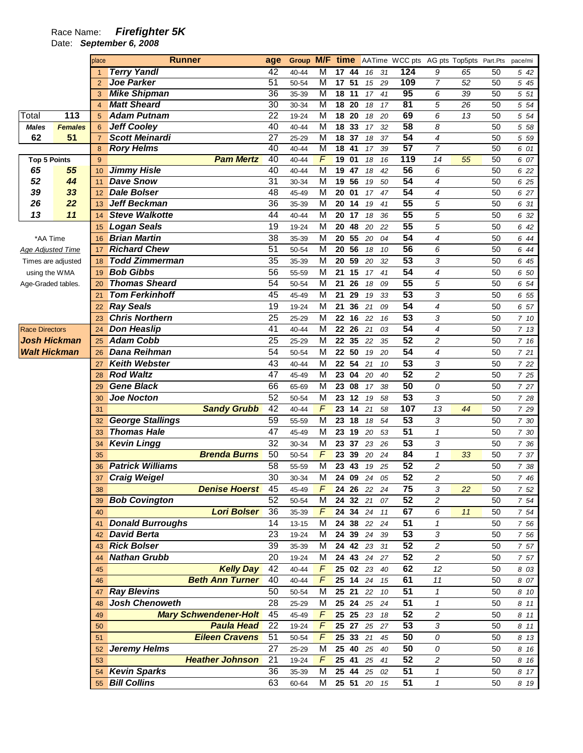## Race Name: **Firefighter 5K**

Date: **September 6, 2008** 

| <b>Terry Yandl</b><br>42<br>124<br>9<br>M<br>65<br>40-44<br>17 44<br>31<br>16<br>$\mathbf{1}$<br>109<br><b>Joe Parker</b><br>$\overline{51}$<br>M<br>17<br>51<br>7<br>50-54<br>29<br>52<br>$\overline{2}$<br>15<br><b>Mike Shipman</b><br>95<br>36<br>$\overline{\mathsf{M}}$<br>18<br>11<br>6<br>39<br>35-39<br>41<br>17<br>3<br><b>Matt Sheard</b><br>81<br>$\overline{30}$<br>$\overline{\mathsf{M}}$<br>5<br>18 20<br>26<br>30-34<br>17<br>18<br>$\overline{4}$<br>$\overline{22}$<br>69<br>113<br><b>Adam Putnam</b><br>$\overline{\mathsf{M}}$<br>6<br>19-24<br>18<br>20<br>13<br>Total<br>20<br>5<br>18<br>$\overline{58}$<br><b>Jeff Cooley</b><br>40<br>8<br>M<br>33<br>18<br>32<br><b>Males</b><br><b>Females</b><br>40-44<br>17<br>6<br>54<br>$\overline{27}$<br>M<br>62<br>51<br><b>Scott Meinardi</b><br>$\overline{37}$<br>4<br>18<br>37<br>25-29<br>18<br>$\overline{7}$<br>$\overline{57}$<br>40<br>M<br><b>Rory Helms</b><br>$\overline{41}$<br>18<br>$\overline{7}$<br>40-44<br>17<br>39<br>8<br>F<br><b>Pam Mertz</b><br>40<br>119<br>19<br>01<br>14<br>55<br>Top 5 Points<br>9<br>40-44<br>18<br>16<br><b>Jimmy Hisle</b><br>40<br>56<br>65<br>55<br>M<br>19<br>47<br>6<br>40-44<br>42<br>18<br>10<br>54<br>52<br>44<br><b>Dave Snow</b><br>$\overline{31}$<br>$\overline{\mathsf{M}}$<br>19<br>56<br>4<br>30-34<br>50<br>19<br>11<br>54<br>39<br>33<br><b>Dale Bolser</b><br>48<br>M<br>4<br>45-49<br>20<br>01<br>47<br>17<br>12<br>36<br>55<br>26<br>22<br><b>Jeff Beckman</b><br>M<br>5<br>35-39<br>20<br>14<br>19<br>41<br>13<br>$\overline{55}$<br>5<br>13<br>11<br><b>Steve Walkotte</b><br>44<br>M<br>20<br>40-44<br>17<br>18<br>36<br>14<br>55<br>5<br><b>Logan Seals</b><br>19<br>M<br>20<br>48<br>22<br>19-24<br>20<br>15<br>54<br><b>Brian Martin</b><br>38<br>4<br>M<br>55<br>35-39<br>20<br>20<br>04<br>*AA Time<br>16<br>$\overline{56}$<br><b>Richard Chew</b><br>51<br>M<br>56<br>6<br>50-54<br>20<br>18<br>10<br><b>Age Adjusted Time</b><br>17<br>$\overline{53}$<br><b>Todd Zimmerman</b><br>35<br>3<br>M<br>20<br>59<br>35-39<br>32<br>20<br>Times are adjusted<br>18<br><b>Bob Gibbs</b><br>54<br>56<br>4<br>M<br>55-59<br>21<br>15<br>17<br>41<br>using the WMA<br>19<br>$\overline{55}$<br><b>Thomas Sheard</b><br>54<br>M<br>5<br>50-54<br>21<br>26<br>09<br>18<br>Age-Graded tables.<br>20<br>$\overline{53}$<br><b>Tom Ferkinhoff</b><br>3<br>45<br>M<br>21<br>45-49<br>29<br>33<br>19<br>21<br>54<br><b>Ray Seals</b><br>19<br>4<br>M<br>21<br>36<br>21<br>09<br>19-24<br>22<br>$\overline{53}$<br><b>Chris Northern</b><br>25<br>3<br>M<br>25-29<br>22<br>16<br>22<br>16<br>23<br>$\overline{54}$<br><b>Don Heaslip</b><br>41<br>4<br>M<br>40-44<br>22<br>26<br><b>Race Directors</b><br>21<br>03<br>24<br>$\overline{52}$<br><b>Adam Cobb</b><br>25<br><b>Josh Hickman</b><br>M<br>2<br>25-29<br>22<br>35<br>22<br>35<br>25<br><b>Dana Reihman</b><br>54<br>54<br>4<br><b>Walt Hickman</b><br>M<br>50<br>50-54<br>22<br>19<br>20<br>26<br>$\overline{53}$<br>43<br><b>Keith Webster</b><br>3<br>M<br>54<br>40-44<br>22<br>21<br>10<br>27<br>$\overline{52}$<br><b>Rod Waltz</b><br>47<br>$\overline{c}$<br>M<br>23<br>45-49<br>04<br>20<br>40<br>28<br><b>Gene Black</b><br>50<br>66<br>M<br>23<br>0<br>65-69<br>08<br>38<br>17<br>29<br>$\overline{53}$<br>52<br><b>Joe Nocton</b><br>M<br>3<br>23<br>50-54<br>12<br>19<br>58<br>30<br>42<br>F<br>107<br>23<br>13<br><b>Sandy Grubb</b><br>40-44<br>14<br>44<br>21<br>58<br>31<br>53<br><b>George Stallings</b><br>59<br>M<br>3<br>55-59<br>23<br>18<br>18<br>54<br>32<br>47<br>51<br><b>Thomas Hale</b><br>$\pmb{\mathcal{1}}$<br>M<br>45-49<br>23<br>19<br>20<br>53<br>33<br>$\overline{53}$<br>32<br>M<br>3<br><b>Kevin Lingg</b><br>30-34<br>23<br>37<br>23<br>26<br>34<br>F<br><b>Brenda Burns</b><br>50<br>84<br>$\mathbf{1}$<br>23<br>39<br>33<br>50-54<br>20<br>24<br>35 | 50<br>5 42<br>50<br>5 45<br>50<br>5 51<br>50<br>5 54<br>50<br>5 54<br>50<br>5 58<br>50<br>5 5 9<br>50<br>6 01<br>50<br>6 07<br>50<br>6 22<br>50<br>6 25<br>50<br>6 27<br>50<br>6 31<br>50<br>6 32<br>50<br>6 42<br>50<br>6 44<br>50<br>6 44<br>50<br>6 45<br>50<br>6 50<br>50<br>6 54<br>50<br>6 55<br>50<br>6 57<br>50<br>7 10<br>50 |
|------------------------------------------------------------------------------------------------------------------------------------------------------------------------------------------------------------------------------------------------------------------------------------------------------------------------------------------------------------------------------------------------------------------------------------------------------------------------------------------------------------------------------------------------------------------------------------------------------------------------------------------------------------------------------------------------------------------------------------------------------------------------------------------------------------------------------------------------------------------------------------------------------------------------------------------------------------------------------------------------------------------------------------------------------------------------------------------------------------------------------------------------------------------------------------------------------------------------------------------------------------------------------------------------------------------------------------------------------------------------------------------------------------------------------------------------------------------------------------------------------------------------------------------------------------------------------------------------------------------------------------------------------------------------------------------------------------------------------------------------------------------------------------------------------------------------------------------------------------------------------------------------------------------------------------------------------------------------------------------------------------------------------------------------------------------------------------------------------------------------------------------------------------------------------------------------------------------------------------------------------------------------------------------------------------------------------------------------------------------------------------------------------------------------------------------------------------------------------------------------------------------------------------------------------------------------------------------------------------------------------------------------------------------------------------------------------------------------------------------------------------------------------------------------------------------------------------------------------------------------------------------------------------------------------------------------------------------------------------------------------------------------------------------------------------------------------------------------------------------------------------------------------------------------------------------------------------------------------------------------------------------------------------------------------------------------------------------------------------------------------------------------------------------------------------------------------------------------------------------------------------------------------------------------------------------------------------------------------------------------------------------------------------------------------------------------------------------------------------------------------------------------------------------------------------------------------------------------------------------------------------|---------------------------------------------------------------------------------------------------------------------------------------------------------------------------------------------------------------------------------------------------------------------------------------------------------------------------------------|
|                                                                                                                                                                                                                                                                                                                                                                                                                                                                                                                                                                                                                                                                                                                                                                                                                                                                                                                                                                                                                                                                                                                                                                                                                                                                                                                                                                                                                                                                                                                                                                                                                                                                                                                                                                                                                                                                                                                                                                                                                                                                                                                                                                                                                                                                                                                                                                                                                                                                                                                                                                                                                                                                                                                                                                                                                                                                                                                                                                                                                                                                                                                                                                                                                                                                                                                                                                                                                                                                                                                                                                                                                                                                                                                                                                                                                                                                                    |                                                                                                                                                                                                                                                                                                                                       |
|                                                                                                                                                                                                                                                                                                                                                                                                                                                                                                                                                                                                                                                                                                                                                                                                                                                                                                                                                                                                                                                                                                                                                                                                                                                                                                                                                                                                                                                                                                                                                                                                                                                                                                                                                                                                                                                                                                                                                                                                                                                                                                                                                                                                                                                                                                                                                                                                                                                                                                                                                                                                                                                                                                                                                                                                                                                                                                                                                                                                                                                                                                                                                                                                                                                                                                                                                                                                                                                                                                                                                                                                                                                                                                                                                                                                                                                                                    |                                                                                                                                                                                                                                                                                                                                       |
|                                                                                                                                                                                                                                                                                                                                                                                                                                                                                                                                                                                                                                                                                                                                                                                                                                                                                                                                                                                                                                                                                                                                                                                                                                                                                                                                                                                                                                                                                                                                                                                                                                                                                                                                                                                                                                                                                                                                                                                                                                                                                                                                                                                                                                                                                                                                                                                                                                                                                                                                                                                                                                                                                                                                                                                                                                                                                                                                                                                                                                                                                                                                                                                                                                                                                                                                                                                                                                                                                                                                                                                                                                                                                                                                                                                                                                                                                    |                                                                                                                                                                                                                                                                                                                                       |
|                                                                                                                                                                                                                                                                                                                                                                                                                                                                                                                                                                                                                                                                                                                                                                                                                                                                                                                                                                                                                                                                                                                                                                                                                                                                                                                                                                                                                                                                                                                                                                                                                                                                                                                                                                                                                                                                                                                                                                                                                                                                                                                                                                                                                                                                                                                                                                                                                                                                                                                                                                                                                                                                                                                                                                                                                                                                                                                                                                                                                                                                                                                                                                                                                                                                                                                                                                                                                                                                                                                                                                                                                                                                                                                                                                                                                                                                                    |                                                                                                                                                                                                                                                                                                                                       |
|                                                                                                                                                                                                                                                                                                                                                                                                                                                                                                                                                                                                                                                                                                                                                                                                                                                                                                                                                                                                                                                                                                                                                                                                                                                                                                                                                                                                                                                                                                                                                                                                                                                                                                                                                                                                                                                                                                                                                                                                                                                                                                                                                                                                                                                                                                                                                                                                                                                                                                                                                                                                                                                                                                                                                                                                                                                                                                                                                                                                                                                                                                                                                                                                                                                                                                                                                                                                                                                                                                                                                                                                                                                                                                                                                                                                                                                                                    |                                                                                                                                                                                                                                                                                                                                       |
|                                                                                                                                                                                                                                                                                                                                                                                                                                                                                                                                                                                                                                                                                                                                                                                                                                                                                                                                                                                                                                                                                                                                                                                                                                                                                                                                                                                                                                                                                                                                                                                                                                                                                                                                                                                                                                                                                                                                                                                                                                                                                                                                                                                                                                                                                                                                                                                                                                                                                                                                                                                                                                                                                                                                                                                                                                                                                                                                                                                                                                                                                                                                                                                                                                                                                                                                                                                                                                                                                                                                                                                                                                                                                                                                                                                                                                                                                    |                                                                                                                                                                                                                                                                                                                                       |
|                                                                                                                                                                                                                                                                                                                                                                                                                                                                                                                                                                                                                                                                                                                                                                                                                                                                                                                                                                                                                                                                                                                                                                                                                                                                                                                                                                                                                                                                                                                                                                                                                                                                                                                                                                                                                                                                                                                                                                                                                                                                                                                                                                                                                                                                                                                                                                                                                                                                                                                                                                                                                                                                                                                                                                                                                                                                                                                                                                                                                                                                                                                                                                                                                                                                                                                                                                                                                                                                                                                                                                                                                                                                                                                                                                                                                                                                                    |                                                                                                                                                                                                                                                                                                                                       |
|                                                                                                                                                                                                                                                                                                                                                                                                                                                                                                                                                                                                                                                                                                                                                                                                                                                                                                                                                                                                                                                                                                                                                                                                                                                                                                                                                                                                                                                                                                                                                                                                                                                                                                                                                                                                                                                                                                                                                                                                                                                                                                                                                                                                                                                                                                                                                                                                                                                                                                                                                                                                                                                                                                                                                                                                                                                                                                                                                                                                                                                                                                                                                                                                                                                                                                                                                                                                                                                                                                                                                                                                                                                                                                                                                                                                                                                                                    |                                                                                                                                                                                                                                                                                                                                       |
|                                                                                                                                                                                                                                                                                                                                                                                                                                                                                                                                                                                                                                                                                                                                                                                                                                                                                                                                                                                                                                                                                                                                                                                                                                                                                                                                                                                                                                                                                                                                                                                                                                                                                                                                                                                                                                                                                                                                                                                                                                                                                                                                                                                                                                                                                                                                                                                                                                                                                                                                                                                                                                                                                                                                                                                                                                                                                                                                                                                                                                                                                                                                                                                                                                                                                                                                                                                                                                                                                                                                                                                                                                                                                                                                                                                                                                                                                    |                                                                                                                                                                                                                                                                                                                                       |
|                                                                                                                                                                                                                                                                                                                                                                                                                                                                                                                                                                                                                                                                                                                                                                                                                                                                                                                                                                                                                                                                                                                                                                                                                                                                                                                                                                                                                                                                                                                                                                                                                                                                                                                                                                                                                                                                                                                                                                                                                                                                                                                                                                                                                                                                                                                                                                                                                                                                                                                                                                                                                                                                                                                                                                                                                                                                                                                                                                                                                                                                                                                                                                                                                                                                                                                                                                                                                                                                                                                                                                                                                                                                                                                                                                                                                                                                                    |                                                                                                                                                                                                                                                                                                                                       |
|                                                                                                                                                                                                                                                                                                                                                                                                                                                                                                                                                                                                                                                                                                                                                                                                                                                                                                                                                                                                                                                                                                                                                                                                                                                                                                                                                                                                                                                                                                                                                                                                                                                                                                                                                                                                                                                                                                                                                                                                                                                                                                                                                                                                                                                                                                                                                                                                                                                                                                                                                                                                                                                                                                                                                                                                                                                                                                                                                                                                                                                                                                                                                                                                                                                                                                                                                                                                                                                                                                                                                                                                                                                                                                                                                                                                                                                                                    |                                                                                                                                                                                                                                                                                                                                       |
|                                                                                                                                                                                                                                                                                                                                                                                                                                                                                                                                                                                                                                                                                                                                                                                                                                                                                                                                                                                                                                                                                                                                                                                                                                                                                                                                                                                                                                                                                                                                                                                                                                                                                                                                                                                                                                                                                                                                                                                                                                                                                                                                                                                                                                                                                                                                                                                                                                                                                                                                                                                                                                                                                                                                                                                                                                                                                                                                                                                                                                                                                                                                                                                                                                                                                                                                                                                                                                                                                                                                                                                                                                                                                                                                                                                                                                                                                    |                                                                                                                                                                                                                                                                                                                                       |
|                                                                                                                                                                                                                                                                                                                                                                                                                                                                                                                                                                                                                                                                                                                                                                                                                                                                                                                                                                                                                                                                                                                                                                                                                                                                                                                                                                                                                                                                                                                                                                                                                                                                                                                                                                                                                                                                                                                                                                                                                                                                                                                                                                                                                                                                                                                                                                                                                                                                                                                                                                                                                                                                                                                                                                                                                                                                                                                                                                                                                                                                                                                                                                                                                                                                                                                                                                                                                                                                                                                                                                                                                                                                                                                                                                                                                                                                                    |                                                                                                                                                                                                                                                                                                                                       |
|                                                                                                                                                                                                                                                                                                                                                                                                                                                                                                                                                                                                                                                                                                                                                                                                                                                                                                                                                                                                                                                                                                                                                                                                                                                                                                                                                                                                                                                                                                                                                                                                                                                                                                                                                                                                                                                                                                                                                                                                                                                                                                                                                                                                                                                                                                                                                                                                                                                                                                                                                                                                                                                                                                                                                                                                                                                                                                                                                                                                                                                                                                                                                                                                                                                                                                                                                                                                                                                                                                                                                                                                                                                                                                                                                                                                                                                                                    |                                                                                                                                                                                                                                                                                                                                       |
|                                                                                                                                                                                                                                                                                                                                                                                                                                                                                                                                                                                                                                                                                                                                                                                                                                                                                                                                                                                                                                                                                                                                                                                                                                                                                                                                                                                                                                                                                                                                                                                                                                                                                                                                                                                                                                                                                                                                                                                                                                                                                                                                                                                                                                                                                                                                                                                                                                                                                                                                                                                                                                                                                                                                                                                                                                                                                                                                                                                                                                                                                                                                                                                                                                                                                                                                                                                                                                                                                                                                                                                                                                                                                                                                                                                                                                                                                    |                                                                                                                                                                                                                                                                                                                                       |
|                                                                                                                                                                                                                                                                                                                                                                                                                                                                                                                                                                                                                                                                                                                                                                                                                                                                                                                                                                                                                                                                                                                                                                                                                                                                                                                                                                                                                                                                                                                                                                                                                                                                                                                                                                                                                                                                                                                                                                                                                                                                                                                                                                                                                                                                                                                                                                                                                                                                                                                                                                                                                                                                                                                                                                                                                                                                                                                                                                                                                                                                                                                                                                                                                                                                                                                                                                                                                                                                                                                                                                                                                                                                                                                                                                                                                                                                                    |                                                                                                                                                                                                                                                                                                                                       |
|                                                                                                                                                                                                                                                                                                                                                                                                                                                                                                                                                                                                                                                                                                                                                                                                                                                                                                                                                                                                                                                                                                                                                                                                                                                                                                                                                                                                                                                                                                                                                                                                                                                                                                                                                                                                                                                                                                                                                                                                                                                                                                                                                                                                                                                                                                                                                                                                                                                                                                                                                                                                                                                                                                                                                                                                                                                                                                                                                                                                                                                                                                                                                                                                                                                                                                                                                                                                                                                                                                                                                                                                                                                                                                                                                                                                                                                                                    |                                                                                                                                                                                                                                                                                                                                       |
|                                                                                                                                                                                                                                                                                                                                                                                                                                                                                                                                                                                                                                                                                                                                                                                                                                                                                                                                                                                                                                                                                                                                                                                                                                                                                                                                                                                                                                                                                                                                                                                                                                                                                                                                                                                                                                                                                                                                                                                                                                                                                                                                                                                                                                                                                                                                                                                                                                                                                                                                                                                                                                                                                                                                                                                                                                                                                                                                                                                                                                                                                                                                                                                                                                                                                                                                                                                                                                                                                                                                                                                                                                                                                                                                                                                                                                                                                    |                                                                                                                                                                                                                                                                                                                                       |
|                                                                                                                                                                                                                                                                                                                                                                                                                                                                                                                                                                                                                                                                                                                                                                                                                                                                                                                                                                                                                                                                                                                                                                                                                                                                                                                                                                                                                                                                                                                                                                                                                                                                                                                                                                                                                                                                                                                                                                                                                                                                                                                                                                                                                                                                                                                                                                                                                                                                                                                                                                                                                                                                                                                                                                                                                                                                                                                                                                                                                                                                                                                                                                                                                                                                                                                                                                                                                                                                                                                                                                                                                                                                                                                                                                                                                                                                                    |                                                                                                                                                                                                                                                                                                                                       |
|                                                                                                                                                                                                                                                                                                                                                                                                                                                                                                                                                                                                                                                                                                                                                                                                                                                                                                                                                                                                                                                                                                                                                                                                                                                                                                                                                                                                                                                                                                                                                                                                                                                                                                                                                                                                                                                                                                                                                                                                                                                                                                                                                                                                                                                                                                                                                                                                                                                                                                                                                                                                                                                                                                                                                                                                                                                                                                                                                                                                                                                                                                                                                                                                                                                                                                                                                                                                                                                                                                                                                                                                                                                                                                                                                                                                                                                                                    |                                                                                                                                                                                                                                                                                                                                       |
|                                                                                                                                                                                                                                                                                                                                                                                                                                                                                                                                                                                                                                                                                                                                                                                                                                                                                                                                                                                                                                                                                                                                                                                                                                                                                                                                                                                                                                                                                                                                                                                                                                                                                                                                                                                                                                                                                                                                                                                                                                                                                                                                                                                                                                                                                                                                                                                                                                                                                                                                                                                                                                                                                                                                                                                                                                                                                                                                                                                                                                                                                                                                                                                                                                                                                                                                                                                                                                                                                                                                                                                                                                                                                                                                                                                                                                                                                    |                                                                                                                                                                                                                                                                                                                                       |
|                                                                                                                                                                                                                                                                                                                                                                                                                                                                                                                                                                                                                                                                                                                                                                                                                                                                                                                                                                                                                                                                                                                                                                                                                                                                                                                                                                                                                                                                                                                                                                                                                                                                                                                                                                                                                                                                                                                                                                                                                                                                                                                                                                                                                                                                                                                                                                                                                                                                                                                                                                                                                                                                                                                                                                                                                                                                                                                                                                                                                                                                                                                                                                                                                                                                                                                                                                                                                                                                                                                                                                                                                                                                                                                                                                                                                                                                                    |                                                                                                                                                                                                                                                                                                                                       |
|                                                                                                                                                                                                                                                                                                                                                                                                                                                                                                                                                                                                                                                                                                                                                                                                                                                                                                                                                                                                                                                                                                                                                                                                                                                                                                                                                                                                                                                                                                                                                                                                                                                                                                                                                                                                                                                                                                                                                                                                                                                                                                                                                                                                                                                                                                                                                                                                                                                                                                                                                                                                                                                                                                                                                                                                                                                                                                                                                                                                                                                                                                                                                                                                                                                                                                                                                                                                                                                                                                                                                                                                                                                                                                                                                                                                                                                                                    |                                                                                                                                                                                                                                                                                                                                       |
|                                                                                                                                                                                                                                                                                                                                                                                                                                                                                                                                                                                                                                                                                                                                                                                                                                                                                                                                                                                                                                                                                                                                                                                                                                                                                                                                                                                                                                                                                                                                                                                                                                                                                                                                                                                                                                                                                                                                                                                                                                                                                                                                                                                                                                                                                                                                                                                                                                                                                                                                                                                                                                                                                                                                                                                                                                                                                                                                                                                                                                                                                                                                                                                                                                                                                                                                                                                                                                                                                                                                                                                                                                                                                                                                                                                                                                                                                    | 7 13                                                                                                                                                                                                                                                                                                                                  |
|                                                                                                                                                                                                                                                                                                                                                                                                                                                                                                                                                                                                                                                                                                                                                                                                                                                                                                                                                                                                                                                                                                                                                                                                                                                                                                                                                                                                                                                                                                                                                                                                                                                                                                                                                                                                                                                                                                                                                                                                                                                                                                                                                                                                                                                                                                                                                                                                                                                                                                                                                                                                                                                                                                                                                                                                                                                                                                                                                                                                                                                                                                                                                                                                                                                                                                                                                                                                                                                                                                                                                                                                                                                                                                                                                                                                                                                                                    | 50<br>7 16                                                                                                                                                                                                                                                                                                                            |
|                                                                                                                                                                                                                                                                                                                                                                                                                                                                                                                                                                                                                                                                                                                                                                                                                                                                                                                                                                                                                                                                                                                                                                                                                                                                                                                                                                                                                                                                                                                                                                                                                                                                                                                                                                                                                                                                                                                                                                                                                                                                                                                                                                                                                                                                                                                                                                                                                                                                                                                                                                                                                                                                                                                                                                                                                                                                                                                                                                                                                                                                                                                                                                                                                                                                                                                                                                                                                                                                                                                                                                                                                                                                                                                                                                                                                                                                                    | 50<br>721                                                                                                                                                                                                                                                                                                                             |
|                                                                                                                                                                                                                                                                                                                                                                                                                                                                                                                                                                                                                                                                                                                                                                                                                                                                                                                                                                                                                                                                                                                                                                                                                                                                                                                                                                                                                                                                                                                                                                                                                                                                                                                                                                                                                                                                                                                                                                                                                                                                                                                                                                                                                                                                                                                                                                                                                                                                                                                                                                                                                                                                                                                                                                                                                                                                                                                                                                                                                                                                                                                                                                                                                                                                                                                                                                                                                                                                                                                                                                                                                                                                                                                                                                                                                                                                                    | 50<br>7 22                                                                                                                                                                                                                                                                                                                            |
|                                                                                                                                                                                                                                                                                                                                                                                                                                                                                                                                                                                                                                                                                                                                                                                                                                                                                                                                                                                                                                                                                                                                                                                                                                                                                                                                                                                                                                                                                                                                                                                                                                                                                                                                                                                                                                                                                                                                                                                                                                                                                                                                                                                                                                                                                                                                                                                                                                                                                                                                                                                                                                                                                                                                                                                                                                                                                                                                                                                                                                                                                                                                                                                                                                                                                                                                                                                                                                                                                                                                                                                                                                                                                                                                                                                                                                                                                    | 50<br>7 25                                                                                                                                                                                                                                                                                                                            |
|                                                                                                                                                                                                                                                                                                                                                                                                                                                                                                                                                                                                                                                                                                                                                                                                                                                                                                                                                                                                                                                                                                                                                                                                                                                                                                                                                                                                                                                                                                                                                                                                                                                                                                                                                                                                                                                                                                                                                                                                                                                                                                                                                                                                                                                                                                                                                                                                                                                                                                                                                                                                                                                                                                                                                                                                                                                                                                                                                                                                                                                                                                                                                                                                                                                                                                                                                                                                                                                                                                                                                                                                                                                                                                                                                                                                                                                                                    | 50<br>7 27                                                                                                                                                                                                                                                                                                                            |
|                                                                                                                                                                                                                                                                                                                                                                                                                                                                                                                                                                                                                                                                                                                                                                                                                                                                                                                                                                                                                                                                                                                                                                                                                                                                                                                                                                                                                                                                                                                                                                                                                                                                                                                                                                                                                                                                                                                                                                                                                                                                                                                                                                                                                                                                                                                                                                                                                                                                                                                                                                                                                                                                                                                                                                                                                                                                                                                                                                                                                                                                                                                                                                                                                                                                                                                                                                                                                                                                                                                                                                                                                                                                                                                                                                                                                                                                                    | 50<br>7 28                                                                                                                                                                                                                                                                                                                            |
|                                                                                                                                                                                                                                                                                                                                                                                                                                                                                                                                                                                                                                                                                                                                                                                                                                                                                                                                                                                                                                                                                                                                                                                                                                                                                                                                                                                                                                                                                                                                                                                                                                                                                                                                                                                                                                                                                                                                                                                                                                                                                                                                                                                                                                                                                                                                                                                                                                                                                                                                                                                                                                                                                                                                                                                                                                                                                                                                                                                                                                                                                                                                                                                                                                                                                                                                                                                                                                                                                                                                                                                                                                                                                                                                                                                                                                                                                    | 50<br>7 29                                                                                                                                                                                                                                                                                                                            |
|                                                                                                                                                                                                                                                                                                                                                                                                                                                                                                                                                                                                                                                                                                                                                                                                                                                                                                                                                                                                                                                                                                                                                                                                                                                                                                                                                                                                                                                                                                                                                                                                                                                                                                                                                                                                                                                                                                                                                                                                                                                                                                                                                                                                                                                                                                                                                                                                                                                                                                                                                                                                                                                                                                                                                                                                                                                                                                                                                                                                                                                                                                                                                                                                                                                                                                                                                                                                                                                                                                                                                                                                                                                                                                                                                                                                                                                                                    | 50<br>7 30                                                                                                                                                                                                                                                                                                                            |
|                                                                                                                                                                                                                                                                                                                                                                                                                                                                                                                                                                                                                                                                                                                                                                                                                                                                                                                                                                                                                                                                                                                                                                                                                                                                                                                                                                                                                                                                                                                                                                                                                                                                                                                                                                                                                                                                                                                                                                                                                                                                                                                                                                                                                                                                                                                                                                                                                                                                                                                                                                                                                                                                                                                                                                                                                                                                                                                                                                                                                                                                                                                                                                                                                                                                                                                                                                                                                                                                                                                                                                                                                                                                                                                                                                                                                                                                                    | 50<br>7 30                                                                                                                                                                                                                                                                                                                            |
|                                                                                                                                                                                                                                                                                                                                                                                                                                                                                                                                                                                                                                                                                                                                                                                                                                                                                                                                                                                                                                                                                                                                                                                                                                                                                                                                                                                                                                                                                                                                                                                                                                                                                                                                                                                                                                                                                                                                                                                                                                                                                                                                                                                                                                                                                                                                                                                                                                                                                                                                                                                                                                                                                                                                                                                                                                                                                                                                                                                                                                                                                                                                                                                                                                                                                                                                                                                                                                                                                                                                                                                                                                                                                                                                                                                                                                                                                    | 50<br>7 36                                                                                                                                                                                                                                                                                                                            |
|                                                                                                                                                                                                                                                                                                                                                                                                                                                                                                                                                                                                                                                                                                                                                                                                                                                                                                                                                                                                                                                                                                                                                                                                                                                                                                                                                                                                                                                                                                                                                                                                                                                                                                                                                                                                                                                                                                                                                                                                                                                                                                                                                                                                                                                                                                                                                                                                                                                                                                                                                                                                                                                                                                                                                                                                                                                                                                                                                                                                                                                                                                                                                                                                                                                                                                                                                                                                                                                                                                                                                                                                                                                                                                                                                                                                                                                                                    | 50<br>7 37                                                                                                                                                                                                                                                                                                                            |
| <b>Patrick Williams</b><br>52<br>58<br>M<br>2<br>23<br>55-59<br>43<br>25<br>19<br>36                                                                                                                                                                                                                                                                                                                                                                                                                                                                                                                                                                                                                                                                                                                                                                                                                                                                                                                                                                                                                                                                                                                                                                                                                                                                                                                                                                                                                                                                                                                                                                                                                                                                                                                                                                                                                                                                                                                                                                                                                                                                                                                                                                                                                                                                                                                                                                                                                                                                                                                                                                                                                                                                                                                                                                                                                                                                                                                                                                                                                                                                                                                                                                                                                                                                                                                                                                                                                                                                                                                                                                                                                                                                                                                                                                                               | 50<br>7 38                                                                                                                                                                                                                                                                                                                            |
| $\overline{52}$<br>30<br><b>Craig Weigel</b><br>M<br>$\overline{\mathbf{c}}$<br>24<br>09<br>05<br>30-34<br>24<br>37                                                                                                                                                                                                                                                                                                                                                                                                                                                                                                                                                                                                                                                                                                                                                                                                                                                                                                                                                                                                                                                                                                                                                                                                                                                                                                                                                                                                                                                                                                                                                                                                                                                                                                                                                                                                                                                                                                                                                                                                                                                                                                                                                                                                                                                                                                                                                                                                                                                                                                                                                                                                                                                                                                                                                                                                                                                                                                                                                                                                                                                                                                                                                                                                                                                                                                                                                                                                                                                                                                                                                                                                                                                                                                                                                                | 50<br>7 46                                                                                                                                                                                                                                                                                                                            |
| 75<br><b>Denise Hoerst</b><br>45<br>F<br>3<br>24 26<br>22<br>45-49<br>22<br>24<br>38                                                                                                                                                                                                                                                                                                                                                                                                                                                                                                                                                                                                                                                                                                                                                                                                                                                                                                                                                                                                                                                                                                                                                                                                                                                                                                                                                                                                                                                                                                                                                                                                                                                                                                                                                                                                                                                                                                                                                                                                                                                                                                                                                                                                                                                                                                                                                                                                                                                                                                                                                                                                                                                                                                                                                                                                                                                                                                                                                                                                                                                                                                                                                                                                                                                                                                                                                                                                                                                                                                                                                                                                                                                                                                                                                                                               | 50<br>7 52                                                                                                                                                                                                                                                                                                                            |
| 52<br>52<br><b>Bob Covington</b><br>M<br>24 32<br>2<br>50-54<br>21<br>07<br>39                                                                                                                                                                                                                                                                                                                                                                                                                                                                                                                                                                                                                                                                                                                                                                                                                                                                                                                                                                                                                                                                                                                                                                                                                                                                                                                                                                                                                                                                                                                                                                                                                                                                                                                                                                                                                                                                                                                                                                                                                                                                                                                                                                                                                                                                                                                                                                                                                                                                                                                                                                                                                                                                                                                                                                                                                                                                                                                                                                                                                                                                                                                                                                                                                                                                                                                                                                                                                                                                                                                                                                                                                                                                                                                                                                                                     | 50<br>7 54                                                                                                                                                                                                                                                                                                                            |
| 67<br><b>Lori Bolser</b><br>36<br>$\sqrt{ }$<br>24 34<br>6<br>35-39<br>24<br>11<br>11<br>40                                                                                                                                                                                                                                                                                                                                                                                                                                                                                                                                                                                                                                                                                                                                                                                                                                                                                                                                                                                                                                                                                                                                                                                                                                                                                                                                                                                                                                                                                                                                                                                                                                                                                                                                                                                                                                                                                                                                                                                                                                                                                                                                                                                                                                                                                                                                                                                                                                                                                                                                                                                                                                                                                                                                                                                                                                                                                                                                                                                                                                                                                                                                                                                                                                                                                                                                                                                                                                                                                                                                                                                                                                                                                                                                                                                        | 50<br>7 54                                                                                                                                                                                                                                                                                                                            |
| 51<br><b>Donald Burroughs</b><br>14<br>M<br>38<br>$\boldsymbol{\mathcal{I}}$<br>24<br>22<br>24<br>13-15<br>41                                                                                                                                                                                                                                                                                                                                                                                                                                                                                                                                                                                                                                                                                                                                                                                                                                                                                                                                                                                                                                                                                                                                                                                                                                                                                                                                                                                                                                                                                                                                                                                                                                                                                                                                                                                                                                                                                                                                                                                                                                                                                                                                                                                                                                                                                                                                                                                                                                                                                                                                                                                                                                                                                                                                                                                                                                                                                                                                                                                                                                                                                                                                                                                                                                                                                                                                                                                                                                                                                                                                                                                                                                                                                                                                                                      | 50<br>7 56                                                                                                                                                                                                                                                                                                                            |
| 53<br><b>David Berta</b><br>3<br>23<br>39<br>M<br>24<br>24<br>39<br>19-24<br>42                                                                                                                                                                                                                                                                                                                                                                                                                                                                                                                                                                                                                                                                                                                                                                                                                                                                                                                                                                                                                                                                                                                                                                                                                                                                                                                                                                                                                                                                                                                                                                                                                                                                                                                                                                                                                                                                                                                                                                                                                                                                                                                                                                                                                                                                                                                                                                                                                                                                                                                                                                                                                                                                                                                                                                                                                                                                                                                                                                                                                                                                                                                                                                                                                                                                                                                                                                                                                                                                                                                                                                                                                                                                                                                                                                                                    | 50<br>7 56                                                                                                                                                                                                                                                                                                                            |
| 52<br><b>Rick Bolser</b><br>$\overline{c}$<br>39<br>24 42<br>35-39<br>M<br>23<br>31<br>43                                                                                                                                                                                                                                                                                                                                                                                                                                                                                                                                                                                                                                                                                                                                                                                                                                                                                                                                                                                                                                                                                                                                                                                                                                                                                                                                                                                                                                                                                                                                                                                                                                                                                                                                                                                                                                                                                                                                                                                                                                                                                                                                                                                                                                                                                                                                                                                                                                                                                                                                                                                                                                                                                                                                                                                                                                                                                                                                                                                                                                                                                                                                                                                                                                                                                                                                                                                                                                                                                                                                                                                                                                                                                                                                                                                          | 50<br>7 57                                                                                                                                                                                                                                                                                                                            |
| 52<br><b>Nathan Grubb</b><br>$\overline{c}$<br>20<br>M<br>24 43<br>19-24<br>24<br>27<br>44                                                                                                                                                                                                                                                                                                                                                                                                                                                                                                                                                                                                                                                                                                                                                                                                                                                                                                                                                                                                                                                                                                                                                                                                                                                                                                                                                                                                                                                                                                                                                                                                                                                                                                                                                                                                                                                                                                                                                                                                                                                                                                                                                                                                                                                                                                                                                                                                                                                                                                                                                                                                                                                                                                                                                                                                                                                                                                                                                                                                                                                                                                                                                                                                                                                                                                                                                                                                                                                                                                                                                                                                                                                                                                                                                                                         | 50<br>7 57                                                                                                                                                                                                                                                                                                                            |
| 62<br><b>Kelly Day</b><br>42<br>F<br>25 02<br>40-44<br>23<br>40<br>12<br>45                                                                                                                                                                                                                                                                                                                                                                                                                                                                                                                                                                                                                                                                                                                                                                                                                                                                                                                                                                                                                                                                                                                                                                                                                                                                                                                                                                                                                                                                                                                                                                                                                                                                                                                                                                                                                                                                                                                                                                                                                                                                                                                                                                                                                                                                                                                                                                                                                                                                                                                                                                                                                                                                                                                                                                                                                                                                                                                                                                                                                                                                                                                                                                                                                                                                                                                                                                                                                                                                                                                                                                                                                                                                                                                                                                                                        | 50<br>8 0 3                                                                                                                                                                                                                                                                                                                           |
| F<br>61<br><b>Beth Ann Turner</b><br>40<br>25 14<br>40-44<br>24<br>15<br>11<br>46                                                                                                                                                                                                                                                                                                                                                                                                                                                                                                                                                                                                                                                                                                                                                                                                                                                                                                                                                                                                                                                                                                                                                                                                                                                                                                                                                                                                                                                                                                                                                                                                                                                                                                                                                                                                                                                                                                                                                                                                                                                                                                                                                                                                                                                                                                                                                                                                                                                                                                                                                                                                                                                                                                                                                                                                                                                                                                                                                                                                                                                                                                                                                                                                                                                                                                                                                                                                                                                                                                                                                                                                                                                                                                                                                                                                  | 50<br>8 07                                                                                                                                                                                                                                                                                                                            |
| 51<br><b>Ray Blevins</b><br>50<br>M<br>25 21<br>$\boldsymbol{\mathcal{I}}$<br>50-54<br>22<br>10<br>47                                                                                                                                                                                                                                                                                                                                                                                                                                                                                                                                                                                                                                                                                                                                                                                                                                                                                                                                                                                                                                                                                                                                                                                                                                                                                                                                                                                                                                                                                                                                                                                                                                                                                                                                                                                                                                                                                                                                                                                                                                                                                                                                                                                                                                                                                                                                                                                                                                                                                                                                                                                                                                                                                                                                                                                                                                                                                                                                                                                                                                                                                                                                                                                                                                                                                                                                                                                                                                                                                                                                                                                                                                                                                                                                                                              | 50<br>8 10                                                                                                                                                                                                                                                                                                                            |
| 51<br><b>Josh Chenoweth</b><br>28<br>M<br>25 24<br>$\boldsymbol{\mathcal{I}}$<br>25<br>24<br>25-29<br>48                                                                                                                                                                                                                                                                                                                                                                                                                                                                                                                                                                                                                                                                                                                                                                                                                                                                                                                                                                                                                                                                                                                                                                                                                                                                                                                                                                                                                                                                                                                                                                                                                                                                                                                                                                                                                                                                                                                                                                                                                                                                                                                                                                                                                                                                                                                                                                                                                                                                                                                                                                                                                                                                                                                                                                                                                                                                                                                                                                                                                                                                                                                                                                                                                                                                                                                                                                                                                                                                                                                                                                                                                                                                                                                                                                           | 50<br>8 11                                                                                                                                                                                                                                                                                                                            |
| 52<br><b>Mary Schwendener-Holt</b><br>45<br>F<br>25<br>$25\,$<br>23<br>2<br>45-49<br>18<br>49                                                                                                                                                                                                                                                                                                                                                                                                                                                                                                                                                                                                                                                                                                                                                                                                                                                                                                                                                                                                                                                                                                                                                                                                                                                                                                                                                                                                                                                                                                                                                                                                                                                                                                                                                                                                                                                                                                                                                                                                                                                                                                                                                                                                                                                                                                                                                                                                                                                                                                                                                                                                                                                                                                                                                                                                                                                                                                                                                                                                                                                                                                                                                                                                                                                                                                                                                                                                                                                                                                                                                                                                                                                                                                                                                                                      | 50<br>8 11                                                                                                                                                                                                                                                                                                                            |
| 53<br><b>Paula Head</b><br>22<br>F<br>3<br>25 27<br>25<br>19-24<br>27<br>50                                                                                                                                                                                                                                                                                                                                                                                                                                                                                                                                                                                                                                                                                                                                                                                                                                                                                                                                                                                                                                                                                                                                                                                                                                                                                                                                                                                                                                                                                                                                                                                                                                                                                                                                                                                                                                                                                                                                                                                                                                                                                                                                                                                                                                                                                                                                                                                                                                                                                                                                                                                                                                                                                                                                                                                                                                                                                                                                                                                                                                                                                                                                                                                                                                                                                                                                                                                                                                                                                                                                                                                                                                                                                                                                                                                                        | 50<br>8 11                                                                                                                                                                                                                                                                                                                            |
| 50<br><b>Eileen Cravens</b><br>51<br>F<br>0<br>$25\,$<br>33<br>21<br>45<br>51<br>50-54                                                                                                                                                                                                                                                                                                                                                                                                                                                                                                                                                                                                                                                                                                                                                                                                                                                                                                                                                                                                                                                                                                                                                                                                                                                                                                                                                                                                                                                                                                                                                                                                                                                                                                                                                                                                                                                                                                                                                                                                                                                                                                                                                                                                                                                                                                                                                                                                                                                                                                                                                                                                                                                                                                                                                                                                                                                                                                                                                                                                                                                                                                                                                                                                                                                                                                                                                                                                                                                                                                                                                                                                                                                                                                                                                                                             | 50<br>8 13                                                                                                                                                                                                                                                                                                                            |
| 50<br>27<br><b>Jeremy Helms</b><br>25<br>40<br>0<br>M<br>25<br>40<br>25-29<br>52                                                                                                                                                                                                                                                                                                                                                                                                                                                                                                                                                                                                                                                                                                                                                                                                                                                                                                                                                                                                                                                                                                                                                                                                                                                                                                                                                                                                                                                                                                                                                                                                                                                                                                                                                                                                                                                                                                                                                                                                                                                                                                                                                                                                                                                                                                                                                                                                                                                                                                                                                                                                                                                                                                                                                                                                                                                                                                                                                                                                                                                                                                                                                                                                                                                                                                                                                                                                                                                                                                                                                                                                                                                                                                                                                                                                   | 50<br>8 16                                                                                                                                                                                                                                                                                                                            |
| 52<br><b>Heather Johnson</b><br>F<br>21<br>25 41<br>2<br>25<br>41<br>53<br>19-24                                                                                                                                                                                                                                                                                                                                                                                                                                                                                                                                                                                                                                                                                                                                                                                                                                                                                                                                                                                                                                                                                                                                                                                                                                                                                                                                                                                                                                                                                                                                                                                                                                                                                                                                                                                                                                                                                                                                                                                                                                                                                                                                                                                                                                                                                                                                                                                                                                                                                                                                                                                                                                                                                                                                                                                                                                                                                                                                                                                                                                                                                                                                                                                                                                                                                                                                                                                                                                                                                                                                                                                                                                                                                                                                                                                                   | 50<br>8 16                                                                                                                                                                                                                                                                                                                            |
| <b>Kevin Sparks</b><br>51<br>36<br>M<br>25 44<br>$\boldsymbol{\mathcal{I}}$<br>25<br>02<br>35-39<br>54                                                                                                                                                                                                                                                                                                                                                                                                                                                                                                                                                                                                                                                                                                                                                                                                                                                                                                                                                                                                                                                                                                                                                                                                                                                                                                                                                                                                                                                                                                                                                                                                                                                                                                                                                                                                                                                                                                                                                                                                                                                                                                                                                                                                                                                                                                                                                                                                                                                                                                                                                                                                                                                                                                                                                                                                                                                                                                                                                                                                                                                                                                                                                                                                                                                                                                                                                                                                                                                                                                                                                                                                                                                                                                                                                                             |                                                                                                                                                                                                                                                                                                                                       |
| <b>Bill Collins</b><br>63<br>51<br>25 51<br>$\boldsymbol{\mathcal{I}}$<br>Μ<br>20 15<br>55<br>60-64                                                                                                                                                                                                                                                                                                                                                                                                                                                                                                                                                                                                                                                                                                                                                                                                                                                                                                                                                                                                                                                                                                                                                                                                                                                                                                                                                                                                                                                                                                                                                                                                                                                                                                                                                                                                                                                                                                                                                                                                                                                                                                                                                                                                                                                                                                                                                                                                                                                                                                                                                                                                                                                                                                                                                                                                                                                                                                                                                                                                                                                                                                                                                                                                                                                                                                                                                                                                                                                                                                                                                                                                                                                                                                                                                                                | 50<br>8 17                                                                                                                                                                                                                                                                                                                            |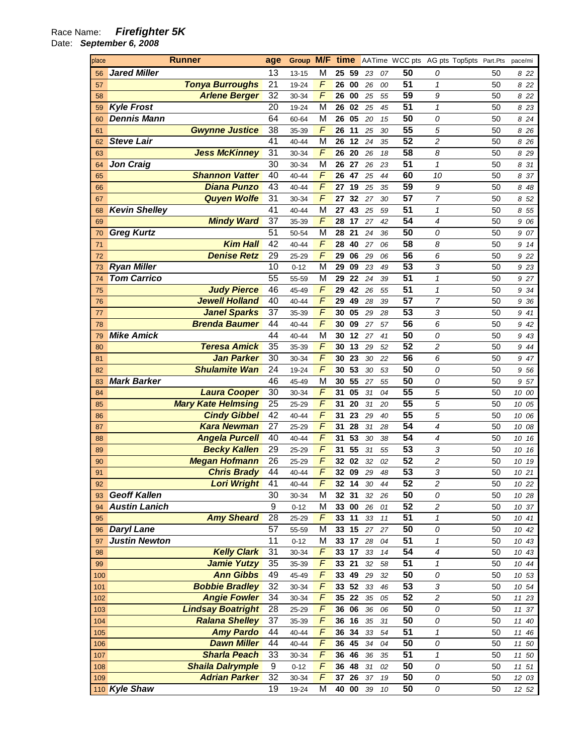## Race Name: **Firefighter 5K**

Date: **September 6, 2008** 

| place |                      | <b>Runner</b>                                   | age             | Group M/F time |                |                 |          |    |                 | AATime WCC pts AG pts Top5pts Part.Pts |          | pace/mi  |
|-------|----------------------|-------------------------------------------------|-----------------|----------------|----------------|-----------------|----------|----|-----------------|----------------------------------------|----------|----------|
| 56    | <b>Jared Miller</b>  |                                                 | 13              | 13-15          | M              | 25<br>59        | 23       | 07 | 50              | 0                                      | 50       | 822      |
| 57    |                      | <b>Tonya Burroughs</b>                          | 21              | 19-24          | $\overline{F}$ | 26<br>00        | 26       | 00 | $\overline{51}$ | 1                                      | 50       | 8 22     |
| 58    |                      | <b>Arlene Berger</b>                            | 32              | 30-34          | F              | 26<br>00        | 25       | 55 | 59              | 9                                      | 50       | 8 22     |
| 59    | <b>Kyle Frost</b>    |                                                 | 20              | 19-24          | M              | 26<br>02        | 25       | 45 | $\overline{51}$ | $\mathcal I$                           | 50       | 8 23     |
| 60    | <b>Dennis Mann</b>   |                                                 | 64              | 60-64          | M              | 26<br>05        | 20       | 15 | 50              | 0                                      | 50       | 8 24     |
| 61    |                      | <b>Gwynne Justice</b>                           | 38              | 35-39          | F              | 26<br>11        | 25       | 30 | $\overline{55}$ | 5                                      | 50       | 8 26     |
| 62    | <b>Steve Lair</b>    |                                                 | $\overline{41}$ | 40-44          | M              | 26<br>12        | 24       | 35 | $\overline{52}$ | $\overline{c}$                         | 50       | 8 26     |
| 63    |                      | <b>Jess McKinney</b>                            | 31              | 30-34          | F              | 26<br>20        | 26       | 18 | $\overline{58}$ | 8                                      | 50       | 8 29     |
| 64    | <b>Jon Craig</b>     |                                                 | 30              | 30-34          | M              | 26<br>27        | 26       | 23 | $\overline{51}$ | 1                                      | 50       | 31<br>8  |
| 65    |                      | <b>Shannon Vatter</b>                           | 40              | 40-44          | F              | 26<br>47        | 25       | 44 | 60              | 10                                     | 50       | 37<br>8  |
| 66    |                      | <b>Diana Punzo</b>                              | 43              | 40-44          | F              | 27<br>19        | 25       | 35 | 59              | 9                                      | 50       | 848      |
| 67    |                      | <b>Quyen Wolfe</b>                              | 31              | 30-34          | F              | 32<br>27        | 27       | 30 | $\overline{57}$ | $\overline{7}$                         | 50       | 52<br>8  |
| 68    | <b>Kevin Shelley</b> |                                                 | 41              | 40-44          | M              | 27<br>43        | 25       | 59 | $\overline{51}$ | $\mathcal I$                           | 50       | 55<br>8  |
| 69    |                      | <b>Mindy Ward</b>                               | 37              | 35-39          | F              | 28<br>17        | 27       | 42 | $\overline{54}$ | 4                                      | 50       | 06<br>9  |
| 70    | <b>Greg Kurtz</b>    |                                                 | 51              | 50-54          | M              | 28<br>21        | 24       | 36 | 50              | 0                                      | 50       | 07<br>9  |
| 71    |                      | <b>Kim Hall</b>                                 | $\overline{42}$ | 40-44          | F              | 28<br>40        | 27       | 06 | 58              | 8                                      | 50       | 9<br>14  |
| 72    |                      | <b>Denise Retz</b>                              | 29              | 25-29          | F              | 29<br>06        | 29       | 06 | $\overline{56}$ | 6                                      | 50       | 22<br>9  |
| 73    | <b>Ryan Miller</b>   |                                                 | 10              | $0 - 12$       | M              | 29<br>09        | 23       | 49 | $\overline{53}$ | 3                                      | 50       | 9 23     |
| 74    | <b>Tom Carrico</b>   |                                                 | 55              | 55-59          | M              | 29<br>22        | 24       | 39 | $\overline{51}$ | $\mathbf{1}$                           | 50       | 9 27     |
| 75    |                      | <b>Judy Pierce</b>                              | 46              | 45-49          | F              | 29<br>42        | 26       | 55 | $\overline{51}$ | $\mathbf{1}$                           | 50       | 34<br>9  |
| 76    |                      | <b>Jewell Holland</b>                           | 40              | 40-44          | F              | 29<br>49        | 28       | 39 | $\overline{57}$ | $\overline{7}$                         | 50       | 9<br>-36 |
| 77    |                      | <b>Janel Sparks</b>                             | 37              | 35-39          | F              | 30<br>05        | 29       | 28 | 53              | 3                                      | 50       | 941      |
| 78    |                      | <b>Brenda Baumer</b>                            | 44              | 40-44          | F              | 30<br>09        | 27       | 57 | $\overline{56}$ | 6                                      | 50       | 9<br>42  |
| 79    | <b>Mike Amick</b>    |                                                 | 44              | 40-44          | M              | 30<br>12        | 27       | 41 | $\overline{50}$ | 0                                      | 50       | 943      |
| 80    |                      | <b>Teresa Amick</b>                             | 35              | 35-39          | F              | 30<br>13        | 29       | 52 | $\overline{52}$ | $\overline{c}$                         | 50       | 944      |
| 81    |                      | <b>Jan Parker</b>                               | 30              | 30-34          | F              | 23<br>30        | 30       | 22 | $\overline{56}$ | 6                                      | 50       | 9 47     |
| 82    |                      | <b>Shulamite Wan</b>                            | 24              | 19-24          | F              | 53<br>30        | 30       | 53 | $\overline{50}$ | 0                                      | 50       | 956      |
| 83    | <b>Mark Barker</b>   |                                                 | 46              | 45-49          | M              | 30<br>55        | 27       | 55 | 50              | 0                                      | 50       | 57<br>9  |
| 84    |                      | <b>Laura Cooper</b>                             | 30              | 30-34          | F              | 31<br>05        | 31       | 04 | 55              | 5                                      | 50       | 10 00    |
| 85    |                      | <b>Mary Kate Helmsing</b>                       | 25              | 25-29          | F              | 20<br>31        | 31       | 20 | 55              | 5                                      | 50       | 10 05    |
| 86    |                      | <b>Cindy Gibbel</b>                             | 42              | 40-44          | F              | 23<br>31        | 29       | 40 | $\overline{55}$ | 5                                      | 50       | 10 06    |
| 87    |                      | <b>Kara Newman</b>                              | 27              | 25-29          | F              | 28<br>31        | 31       | 28 | $\overline{54}$ | 4                                      | 50       | 10 08    |
| 88    |                      | <b>Angela Purcell</b>                           | 40              | 40-44          | F              | 53<br>31        | 30       | 38 | $\overline{54}$ | 4                                      | 50       | 10 16    |
| 89    |                      | <b>Becky Kallen</b>                             | 29              | 25-29          | F              | 55<br>31        | 31       | 55 | $\overline{53}$ | 3                                      | 50       | 10 16    |
| 90    |                      | <b>Megan Hofmann</b>                            | 26              | 25-29          | F              | 32<br>02        | 32       | 02 | $\overline{52}$ | 2                                      | 50       | 10 19    |
| 91    |                      | <b>Chris Brady</b>                              | 44              | 40-44          | F              | 32<br>09        | 29       | 48 | $\overline{53}$ | 3                                      | 50       | 10 21    |
| 92    |                      | <b>Lori Wright</b>                              | 41              | 40-44          | $\overline{F}$ | 32 14           |          | 44 | 52              | $\sqrt{2}$                             | 50       | 10 22    |
| 93    | <b>Geoff Kallen</b>  |                                                 | 30              | 30-34          | M              | 32 31           | 30<br>32 | 26 | 50              | 0                                      | 50       | 10 28    |
| 94    | <b>Austin Lanich</b> |                                                 | $\overline{9}$  | $0 - 12$       | M              | 33 00           | 26       | 01 | $\overline{52}$ | 2                                      | 50       | 10 37    |
| 95    |                      | <b>Amy Sheard</b>                               | 28              | 25-29          | $\overline{F}$ | 33 11           | 33       | 11 | $\overline{51}$ | $\boldsymbol{\mathcal{L}}$             | 50       | 10 41    |
| 96    | <b>Daryl Lane</b>    |                                                 | 57              | 55-59          | M              | 15<br>33        | 27       | 27 | 50              | 0                                      | 50       | 10 42    |
| 97    | <b>Justin Newton</b> |                                                 | $\overline{11}$ | $0 - 12$       | M              | 33<br>17        | 28       | 04 | $\overline{51}$ | $\boldsymbol{\mathcal{L}}$             | 50       | 10 43    |
| 98    |                      | <b>Kelly Clark</b>                              | 31              | 30-34          | $\overline{F}$ | 33 17           | 33       | 14 | $\overline{54}$ | 4                                      | 50       | 10 43    |
| 99    |                      | <b>Jamie Yutzy</b>                              | 35              | 35-39          | $\overline{F}$ | 33<br>21        | 32       | 58 | $\overline{51}$ | 1                                      | 50       | 10 44    |
| 100   |                      | <b>Ann Gibbs</b>                                | 49              | 45-49          | F              | 33 49           | 29       | 32 | 50              | 0                                      | 50       | 10 53    |
| 101   |                      | <b>Bobbie Bradley</b>                           | $\overline{32}$ | 30-34          | $\overline{F}$ | 33 52           | 33       | 46 | $\overline{53}$ | 3                                      | 50       | 10 54    |
| 102   |                      | <b>Angie Fowler</b>                             | 34              | 30-34          | $\overline{F}$ | 35<br>22        | 35       | 05 | $\overline{52}$ | $\overline{\mathbf{c}}$                | 50       | 11 23    |
| 103   |                      | <b>Lindsay Boatright</b>                        | 28              | 25-29          | F              | 36<br>06        | 36       | 06 | 50              | 0                                      | 50       |          |
| 104   |                      | <b>Ralana Shelley</b>                           | 37              | 35-39          | F              | 36 16           | 35       | 31 | 50              | 0                                      | 50       | 11 37    |
|       |                      | <b>Amy Pardo</b>                                | 44              |                | $\overline{F}$ | 36<br>34        |          |    | $\overline{51}$ | $\mathbf{1}$                           | 50       | 11 40    |
| 105   |                      | <b>Dawn Miller</b>                              | 44              | 40-44          | $\sqrt{ }$     | 36 45           | 33       | 54 | 50              |                                        | 50       | 11 46    |
| 106   |                      | <b>Sharla Peach</b>                             | 33              | 40-44          | F              |                 | 34       | 04 | $\overline{51}$ | 0                                      |          | 11 50    |
| 107   |                      |                                                 | 9               | 30-34          | F              | 36 46           | 36       | 35 | 50              | 1                                      | 50       | 11 50    |
| 108   |                      | <b>Shaila Dalrymple</b><br><b>Adrian Parker</b> | $\overline{32}$ | $0 - 12$       | F              | 36<br>48<br>26  | 31<br>37 | 02 | 50              | 0                                      | 50<br>50 | 11 51    |
| 109   |                      |                                                 | 19              | 30-34          | M              | 37              |          | 19 | 50              | 0                                      |          | 12 03    |
|       | 110 Kyle Shaw        |                                                 |                 | 19-24          |                | 40<br>$\bf{00}$ | 39       | 10 |                 | 0                                      | 50       | 12 52    |